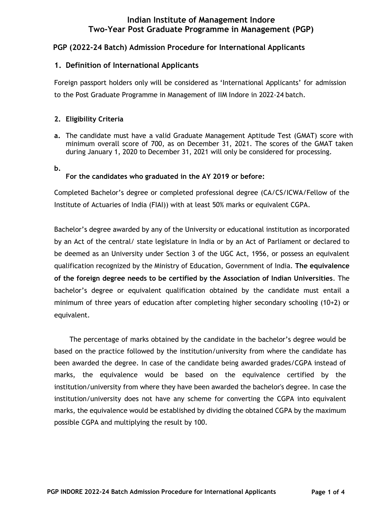# **Indian Institute of Management Indore Two-Year Post Graduate Programme in Management (PGP)**

# **PGP (2022-24 Batch) Admission Procedure for International Applicants**

# **1. Definition of International Applicants**

Foreign passport holders only will be considered as 'International Applicants' for admission to the Post Graduate Programme in Management of IIM Indore in 2022-24 batch.

### **2. Eligibility Criteria**

- **a.** The candidate must have a valid Graduate Management Aptitude Test (GMAT) score with minimum overall score of 700, as on December 31, 2021. The scores of the GMAT taken during January 1, 2020 to December 31, 2021 will only be considered for processing.
- **b.**

### **For the candidates who graduated in the AY 2019 or before:**

Completed Bachelor's degree or completed professional degree (CA/CS/ICWA/Fellow of the Institute of Actuaries of India (FIAI)) with at least 50% marks or equivalent CGPA.

Bachelor's degree awarded by any of the University or educational institution as incorporated by an Act of the central/ state legislature in India or by an Act of Parliament or declared to be deemed as an University under Section 3 of the UGC Act, 1956, or possess an equivalent qualification recognized by the Ministry of Education, Government of India. **The equivalence of the foreign degree needs to be certified by the Association of Indian Universities**. The bachelor's degree or equivalent qualification obtained by the candidate must entail a minimum of three years of education after completing higher secondary schooling (10+2) or equivalent.

The percentage of marks obtained by the candidate in the bachelor's degree would be based on the practice followed by the institution/university from where the candidate has been awarded the degree. In case of the candidate being awarded grades/CGPA instead of marks, the equivalence would be based on the equivalence certified by the institution/university from where they have been awarded the bachelor's degree. In case the institution/university does not have any scheme for converting the CGPA into equivalent marks, the equivalence would be established by dividing the obtained CGPA by the maximum possible CGPA and multiplying the result by 100.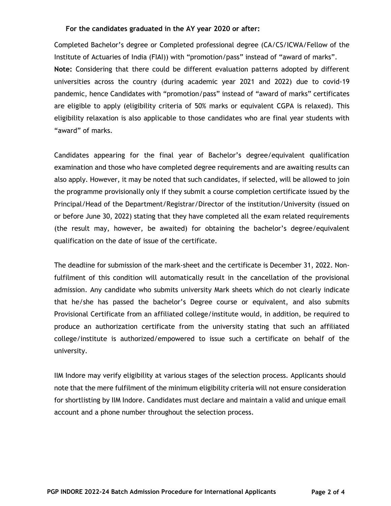#### **For the candidates graduated in the AY year 2020 or after:**

Completed Bachelor's degree or Completed professional degree (CA/CS/ICWA/Fellow of the Institute of Actuaries of India (FIAI)) with "promotion/pass" instead of "award of marks". **Note:** Considering that there could be different evaluation patterns adopted by different universities across the country (during academic year 2021 and 2022) due to covid-19 pandemic, hence Candidates with "promotion/pass" instead of "award of marks" certificates are eligible to apply (eligibility criteria of 50% marks or equivalent CGPA is relaxed). This eligibility relaxation is also applicable to those candidates who are final year students with "award" of marks.

Candidates appearing for the final year of Bachelor's degree/equivalent qualification examination and those who have completed degree requirements and are awaiting results can also apply. However, it may be noted that such candidates, if selected, will be allowed to join the programme provisionally only if they submit a course completion certificate issued by the Principal/Head of the Department/Registrar/Director of the institution/University (issued on or before June 30, 2022) stating that they have completed all the exam related requirements (the result may, however, be awaited) for obtaining the bachelor's degree/equivalent qualification on the date of issue of the certificate.

The deadline for submission of the mark-sheet and the certificate is December 31, 2022. Nonfulfilment of this condition will automatically result in the cancellation of the provisional admission. Any candidate who submits university Mark sheets which do not clearly indicate that he/she has passed the bachelor's Degree course or equivalent, and also submits Provisional Certificate from an affiliated college/institute would, in addition, be required to produce an authorization certificate from the university stating that such an affiliated college/institute is authorized/empowered to issue such a certificate on behalf of the university.

IIM Indore may verify eligibility at various stages of the selection process. Applicants should note that the mere fulfilment of the minimum eligibility criteria will not ensure consideration for shortlisting by IIM Indore. Candidates must declare and maintain a valid and unique email account and a phone number throughout the selection process.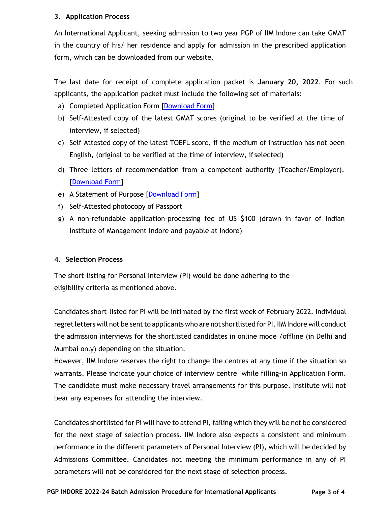### **3. Application Process**

An International Applicant, seeking admission to two year PGP of IIM Indore can take GMAT in the country of his/ her residence and apply for admission in the prescribed application form, which can be downloaded from our website.

The last date for receipt of complete application packet is **January 20, 2022**. For such applicants, the application packet must include the following set of materials:

- a) Completed Application Form [\[Download](https://www.iimidr.ac.in/wp-content/uploads/AplicationFormPGPInt.pdf) Form]
- b) Self-Attested copy of the latest GMAT scores (original to be verified at the time of interview, if selected)
- c) Self-Attested copy of the latest TOEFL score, if the medium of instruction has not been English, (original to be verified at the time of interview, if selected)
- d) Three letters of recommendation from a competent authority (Teacher/Employer). [\[Download](https://www.iimidr.ac.in/wp-content/uploads/LOII_PGP.pdf) Form]
- e) A Statement of Purpose [\[Download](https://www.iimidr.ac.in/wp-content/uploads/SoP_PGP.pdf) Form]
- f) Self-Attested photocopy of Passport
- g) A non-refundable application-processing fee of US \$100 (drawn in favor of Indian Institute of Management Indore and payable at Indore)

# **4. Selection Process**

The short-listing for Personal Interview (PI) would be done adhering to the eligibility criteria as mentioned above.

Candidates short-listed for PI will be intimated by the first week of February 2022. Individual regret letters will not be sent to applicants who are not shortlisted for PI. IIM Indore will conduct the admission interviews for the shortlisted candidates in online mode /offline (in Delhi and Mumbai only) depending on the situation.

However, IIM Indore reserves the right to change the centres at any time if the situation so warrants. Please indicate your choice of interview centre while filling-in Application Form. The candidate must make necessary travel arrangements for this purpose. Institute will not bear any expenses for attending the interview.

Candidates shortlisted for PI will have to attend PI, failing which they will be not be considered for the next stage of selection process. IIM Indore also expects a consistent and minimum performance in the different parameters of Personal Interview (PI), which will be decided by Admissions Committee. Candidates not meeting the minimum performance in any of PI parameters will not be considered for the next stage of selection process.